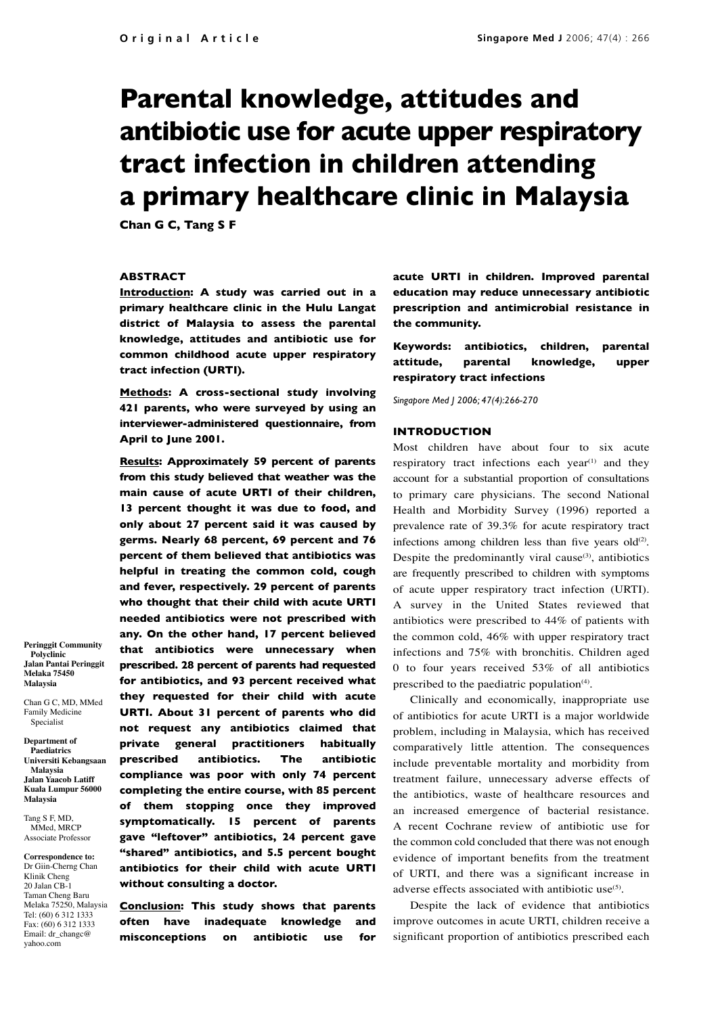# **Parental knowledge, attitudes and antibiotic use for acute upper respiratory tract infection in children attending a primary healthcare clinic in Malaysia**

**Chan G C, Tang S F**

### **Abstract**

**Introduction: A study was carried out in a primary healthcare clinic in the Hulu Langat district of Malaysia to assess the parental knowledge, attitudes and antibiotic use for common childhood acute upper respiratory tract infection (URTI).**

**Methods: A cross-sectional study involving 421 parents, who were surveyed by using an interviewer-administered questionnaire, from April to June 2001.**

**Results: Approximately 59 percent of parents from this study believed that weather was the main cause of acute URTI of their children, 13 percent thought it was due to food, and only about 27 percent said it was caused by germs. Nearly 68 percent, 69 percent and 76 percent of them believed that antibiotics was helpful in treating the common cold, cough and fever, respectively. 29 percent of parents who thought that their child with acute URTI needed antibiotics were not prescribed with any. On the other hand, 17 percent believed that antibiotics were unnecessary when prescribed. 28 percent of parents had requested for antibiotics, and 93 percent received what they requested for their child with acute URTI. About 31 percent of parents who did not request any antibiotics claimed that private general practitioners habitually prescribed antibiotics. The antibiotic compliance was poor with only 74 percent completing the entire course, with 85 percent of them stopping once they improved symptomatically. 15 percent of parents gave "leftover" antibiotics, 24 percent gave "shared" antibiotics, and 5.5 percent bought antibiotics for their child with acute URTI without consulting a doctor.** 

**Conclusion: This study shows that parents often have inadequate knowledge and misconceptions on antibiotic use for** 

**acute URTI in children. Improved parental education may reduce unnecessary antibiotic prescription and antimicrobial resistance in the community.** 

**Keywords: antibiotics, children, parental attitude, parental knowledge, upper respiratory tract infections**

*Singapore Med J 2006; 47(4):266-270*

# **Introduction**

Most children have about four to six acute respiratory tract infections each year<sup>(1)</sup> and they account for a substantial proportion of consultations to primary care physicians. The second National Health and Morbidity Survey (1996) reported a prevalence rate of 39.3% for acute respiratory tract infections among children less than five years  $old^{(2)}$ . Despite the predominantly viral cause $(3)$ , antibiotics are frequently prescribed to children with symptoms of acute upper respiratory tract infection (URTI). A survey in the United States reviewed that antibiotics were prescribed to 44% of patients with the common cold, 46% with upper respiratory tract infections and 75% with bronchitis. Children aged 0 to four years received 53% of all antibiotics prescribed to the paediatric population $(4)$ .

Clinically and economically, inappropriate use of antibiotics for acute URTI is a major worldwide problem, including in Malaysia, which has received comparatively little attention. The consequences include preventable mortality and morbidity from treatment failure, unnecessary adverse effects of the antibiotics, waste of healthcare resources and an increased emergence of bacterial resistance. A recent Cochrane review of antibiotic use for the common cold concluded that there was not enough evidence of important benefits from the treatment of URTI, and there was a significant increase in adverse effects associated with antibiotic use<sup>(5)</sup>.

Despite the lack of evidence that antibiotics improve outcomes in acute URTI, children receive a significant proportion of antibiotics prescribed each

**Peringgit Community Polyclinic Jalan Pantai Peringgit Melaka 75450 Malaysia** 

Chan G C, MD, MMed Family Medicine Specialist

**Department of Paediatrics Universiti Kebangsaan Malaysia Jalan Yaacob Latiff Kuala Lumpur 56000 Malaysia**

Tang S F, MD, MM<sub>ed</sub> MRCP Associate Professor

**Correspondence to:** Dr Giin-Cherng Chan Klinik Cheng 20 Jalan CB-1 Taman Cheng Baru Melaka 75250, Malaysia Tel: (60) 6 312 1333 Fax: (60) 6 312 1333 Email: dr\_changc@ yahoo.com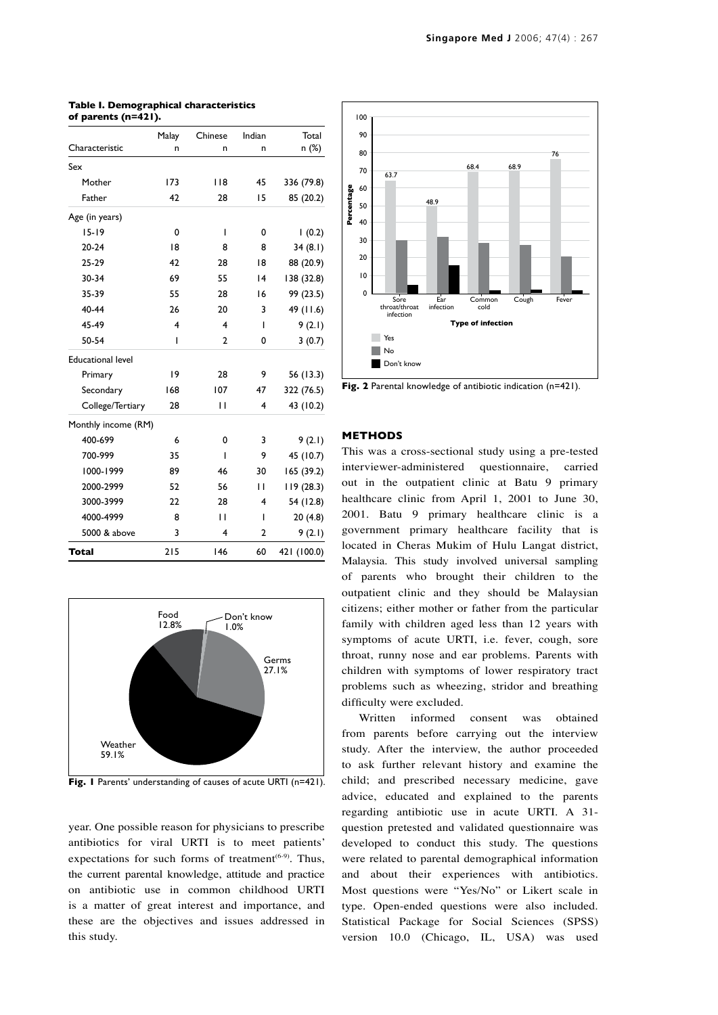| Characteristic           | Malay<br>n | Chinese<br>n   | Indian<br>n | Total<br>n (%) |
|--------------------------|------------|----------------|-------------|----------------|
|                          |            |                |             |                |
| Mother                   | 173        | 118            | 45          | 336 (79.8)     |
| Father                   | 42         | 28             | 15          | 85 (20.2)      |
| Age (in years)           |            |                |             |                |
| $15 - 19$                | 0          | $\overline{1}$ | 0           | 1(0.2)         |
| $20 - 24$                | 18         | 8              | 8           | 34(8.1)        |
| 25-29                    | 42         | 28             | 18          | 88 (20.9)      |
| 30-34                    | 69         | 55             | 4           | 138 (32.8)     |
| 35-39                    | 55         | 28             | 16          | 99 (23.5)      |
| 40-44                    | 26         | 20             | 3           | 49 (11.6)      |
| 45-49                    | 4          | 4              | T           | 9(2.1)         |
| 50-54                    | I          | $\overline{2}$ | 0           | 3(0.7)         |
| <b>Educational level</b> |            |                |             |                |
| Primary                  | 19         | 28             | 9           | 56 (13.3)      |
| Secondary                | 168        | 107            | 47          | 322 (76.5)     |
| College/Tertiary         | 28         | П              | 4           | 43 (10.2)      |
| Monthly income (RM)      |            |                |             |                |
| 400-699                  | 6          | 0              | 3           | 9(2.1)         |
| 700-999                  | 35         | ı              | 9           | 45 (10.7)      |
| 1000-1999                | 89         | 46             | 30          | 165 (39.2)     |
| 2000-2999                | 52         | 56             | П           | 119(28.3)      |
| 3000-3999                | 22         | 28             | 4           | 54 (12.8)      |
| 4000-4999                | 8          | П              | T           | 20(4.8)        |
| 5000 & above             | 3          | 4              | 2           | 9(2.1)         |
| <b>Total</b>             | 215        | 146            | 60          | 421 (100.0)    |

#### **Table I. Demographical characteristics of parents (n=421).**



**Fig. 1** Parents' understanding of causes of acute URTI (n=421).

year. One possible reason for physicians to prescribe antibiotics for viral URTI is to meet patients' expectations for such forms of treatment<sup> $(6-9)$ </sup>. Thus, the current parental knowledge, attitude and practice on antibiotic use in common childhood URTI is a matter of great interest and importance, and these are the objectives and issues addressed in this study.



**Fig. 2** Parental knowledge of antibiotic indication (n=421).

# **Methods**

This was a cross-sectional study using a pre-tested interviewer-administered questionnaire, carried out in the outpatient clinic at Batu 9 primary healthcare clinic from April 1, 2001 to June 30, 2001. Batu 9 primary healthcare clinic is a government primary healthcare facility that is located in Cheras Mukim of Hulu Langat district, Malaysia. This study involved universal sampling of parents who brought their children to the outpatient clinic and they should be Malaysian citizens; either mother or father from the particular family with children aged less than 12 years with symptoms of acute URTI, i.e. fever, cough, sore throat, runny nose and ear problems. Parents with children with symptoms of lower respiratory tract problems such as wheezing, stridor and breathing difficulty were excluded.

Written informed consent was obtained from parents before carrying out the interview study. After the interview, the author proceeded to ask further relevant history and examine the child; and prescribed necessary medicine, gave advice, educated and explained to the parents regarding antibiotic use in acute URTI. A 31 question pretested and validated questionnaire was developed to conduct this study. The questions were related to parental demographical information and about their experiences with antibiotics. Most questions were "Yes/No" or Likert scale in type. Open-ended questions were also included. Statistical Package for Social Sciences (SPSS) version 10.0 (Chicago, IL, USA) was used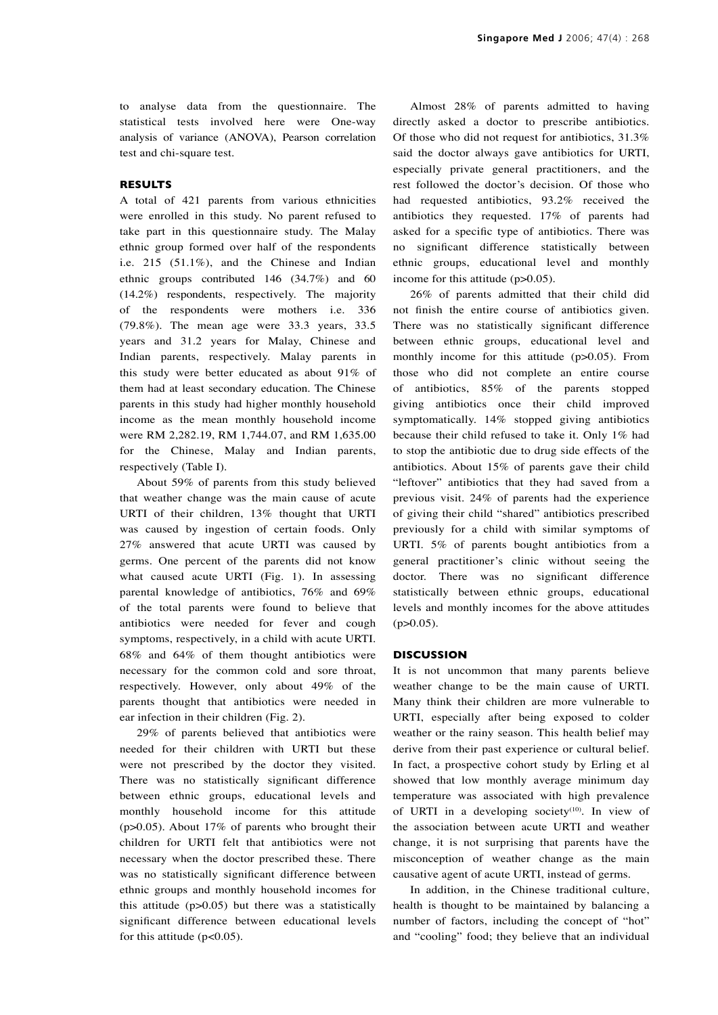to analyse data from the questionnaire. The statistical tests involved here were One-way analysis of variance (ANOVA), Pearson correlation test and chi-square test.

# **Results**

A total of 421 parents from various ethnicities were enrolled in this study. No parent refused to take part in this questionnaire study. The Malay ethnic group formed over half of the respondents i.e. 215 (51.1%), and the Chinese and Indian ethnic groups contributed 146 (34.7%) and 60 (14.2%) respondents, respectively. The majority of the respondents were mothers i.e. 336 (79.8%). The mean age were 33.3 years, 33.5 years and 31.2 years for Malay, Chinese and Indian parents, respectively. Malay parents in this study were better educated as about 91% of them had at least secondary education. The Chinese parents in this study had higher monthly household income as the mean monthly household income were RM 2,282.19, RM 1,744.07, and RM 1,635.00 for the Chinese, Malay and Indian parents, respectively (Table I).

About 59% of parents from this study believed that weather change was the main cause of acute URTI of their children, 13% thought that URTI was caused by ingestion of certain foods. Only 27% answered that acute URTI was caused by germs. One percent of the parents did not know what caused acute URTI (Fig. 1). In assessing parental knowledge of antibiotics, 76% and 69% of the total parents were found to believe that antibiotics were needed for fever and cough symptoms, respectively, in a child with acute URTI. 68% and 64% of them thought antibiotics were necessary for the common cold and sore throat, respectively. However, only about 49% of the parents thought that antibiotics were needed in ear infection in their children (Fig. 2).

29% of parents believed that antibiotics were needed for their children with URTI but these were not prescribed by the doctor they visited. There was no statistically significant difference between ethnic groups, educational levels and monthly household income for this attitude (p>0.05). About 17% of parents who brought their children for URTI felt that antibiotics were not necessary when the doctor prescribed these. There was no statistically significant difference between ethnic groups and monthly household incomes for this attitude  $(p>0.05)$  but there was a statistically significant difference between educational levels for this attitude  $(p<0.05)$ .

Almost 28% of parents admitted to having directly asked a doctor to prescribe antibiotics. Of those who did not request for antibiotics, 31.3% said the doctor always gave antibiotics for URTI, especially private general practitioners, and the rest followed the doctor's decision. Of those who had requested antibiotics, 93.2% received the antibiotics they requested. 17% of parents had asked for a specific type of antibiotics. There was no significant difference statistically between ethnic groups, educational level and monthly income for this attitude (p>0.05).

26% of parents admitted that their child did not finish the entire course of antibiotics given. There was no statistically significant difference between ethnic groups, educational level and monthly income for this attitude (p>0.05). From those who did not complete an entire course of antibiotics, 85% of the parents stopped giving antibiotics once their child improved symptomatically. 14% stopped giving antibiotics because their child refused to take it. Only 1% had to stop the antibiotic due to drug side effects of the antibiotics. About 15% of parents gave their child "leftover" antibiotics that they had saved from a previous visit. 24% of parents had the experience of giving their child "shared" antibiotics prescribed previously for a child with similar symptoms of URTI. 5% of parents bought antibiotics from a general practitioner's clinic without seeing the doctor. There was no significant difference statistically between ethnic groups, educational levels and monthly incomes for the above attitudes  $(p>0.05)$ .

#### **Discussion**

It is not uncommon that many parents believe weather change to be the main cause of URTI. Many think their children are more vulnerable to URTI, especially after being exposed to colder weather or the rainy season. This health belief may derive from their past experience or cultural belief. In fact, a prospective cohort study by Erling et al showed that low monthly average minimum day temperature was associated with high prevalence of URTI in a developing society<sup>(10)</sup>. In view of the association between acute URTI and weather change, it is not surprising that parents have the misconception of weather change as the main causative agent of acute URTI, instead of germs.

In addition, in the Chinese traditional culture, health is thought to be maintained by balancing a number of factors, including the concept of "hot" and "cooling" food; they believe that an individual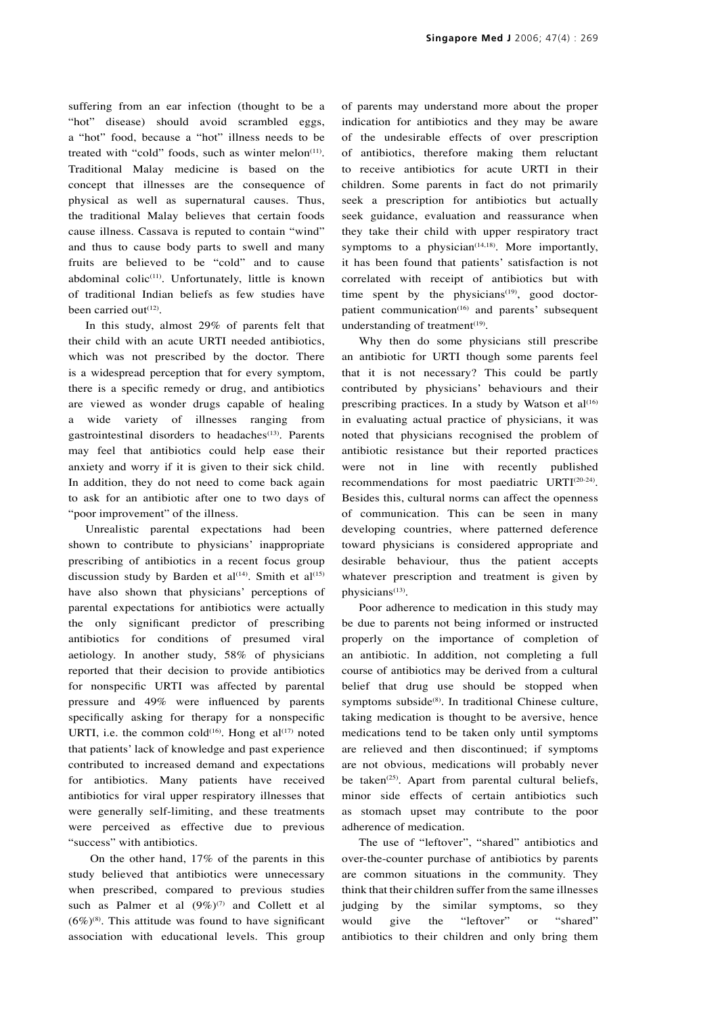suffering from an ear infection (thought to be a "hot" disease) should avoid scrambled eggs, a "hot" food, because a "hot" illness needs to be treated with "cold" foods, such as winter melon<sup>(11)</sup>. Traditional Malay medicine is based on the concept that illnesses are the consequence of physical as well as supernatural causes. Thus, the traditional Malay believes that certain foods cause illness. Cassava is reputed to contain "wind" and thus to cause body parts to swell and many fruits are believed to be "cold" and to cause abdominal colic<sup>(11)</sup>. Unfortunately, little is known of traditional Indian beliefs as few studies have been carried out<sup>(12)</sup>.

In this study, almost 29% of parents felt that their child with an acute URTI needed antibiotics, which was not prescribed by the doctor. There is a widespread perception that for every symptom, there is a specific remedy or drug, and antibiotics are viewed as wonder drugs capable of healing a wide variety of illnesses ranging from gastrointestinal disorders to headaches<sup>(13)</sup>. Parents may feel that antibiotics could help ease their anxiety and worry if it is given to their sick child. In addition, they do not need to come back again to ask for an antibiotic after one to two days of "poor improvement" of the illness.

Unrealistic parental expectations had been shown to contribute to physicians' inappropriate prescribing of antibiotics in a recent focus group discussion study by Barden et al<sup>(14)</sup>. Smith et al<sup>(15)</sup> have also shown that physicians' perceptions of parental expectations for antibiotics were actually the only significant predictor of prescribing antibiotics for conditions of presumed viral aetiology. In another study, 58% of physicians reported that their decision to provide antibiotics for nonspecific URTI was affected by parental pressure and 49% were influenced by parents specifically asking for therapy for a nonspecific URTI, i.e. the common cold<sup>(16)</sup>. Hong et al<sup>(17)</sup> noted that patients' lack of knowledge and past experience contributed to increased demand and expectations for antibiotics. Many patients have received antibiotics for viral upper respiratory illnesses that were generally self-limiting, and these treatments were perceived as effective due to previous "success" with antibiotics.

 On the other hand, 17% of the parents in this study believed that antibiotics were unnecessary when prescribed, compared to previous studies such as Palmer et al  $(9\%)^{(7)}$  and Collett et al  $(6\%)^{(8)}$ . This attitude was found to have significant association with educational levels. This group of parents may understand more about the proper indication for antibiotics and they may be aware of the undesirable effects of over prescription of antibiotics, therefore making them reluctant to receive antibiotics for acute URTI in their children. Some parents in fact do not primarily seek a prescription for antibiotics but actually seek guidance, evaluation and reassurance when they take their child with upper respiratory tract symptoms to a physician $(14,18)$ . More importantly, it has been found that patients' satisfaction is not correlated with receipt of antibiotics but with time spent by the physicians<sup>(19)</sup>, good doctorpatient communication<sup>(16)</sup> and parents' subsequent understanding of treatment $(19)$ .

Why then do some physicians still prescribe an antibiotic for URTI though some parents feel that it is not necessary? This could be partly contributed by physicians' behaviours and their prescribing practices. In a study by Watson et  $al^{(16)}$ in evaluating actual practice of physicians, it was noted that physicians recognised the problem of antibiotic resistance but their reported practices were not in line with recently published recommendations for most paediatric URTI(20-24). Besides this, cultural norms can affect the openness of communication. This can be seen in many developing countries, where patterned deference toward physicians is considered appropriate and desirable behaviour, thus the patient accepts whatever prescription and treatment is given by physicians<sup>(13)</sup>.

Poor adherence to medication in this study may be due to parents not being informed or instructed properly on the importance of completion of an antibiotic. In addition, not completing a full course of antibiotics may be derived from a cultural belief that drug use should be stopped when symptoms subside<sup>(8)</sup>. In traditional Chinese culture, taking medication is thought to be aversive, hence medications tend to be taken only until symptoms are relieved and then discontinued; if symptoms are not obvious, medications will probably never be taken<sup>(25)</sup>. Apart from parental cultural beliefs, minor side effects of certain antibiotics such as stomach upset may contribute to the poor adherence of medication.

The use of "leftover", "shared" antibiotics and over-the-counter purchase of antibiotics by parents are common situations in the community. They think that their children suffer from the same illnesses judging by the similar symptoms, so they would give the "leftover" or "shared" antibiotics to their children and only bring them